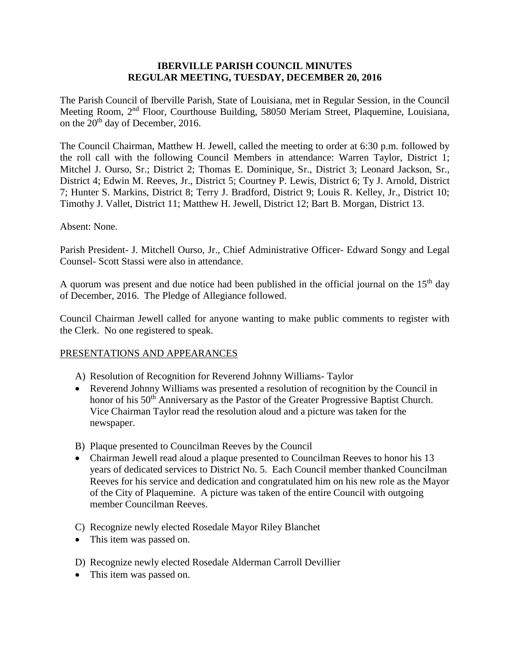### **IBERVILLE PARISH COUNCIL MINUTES REGULAR MEETING, TUESDAY, DECEMBER 20, 2016**

The Parish Council of Iberville Parish, State of Louisiana, met in Regular Session, in the Council Meeting Room, 2nd Floor, Courthouse Building, 58050 Meriam Street, Plaquemine, Louisiana, on the 20<sup>th</sup> day of December, 2016.

The Council Chairman, Matthew H. Jewell, called the meeting to order at 6:30 p.m. followed by the roll call with the following Council Members in attendance: Warren Taylor, District 1; Mitchel J. Ourso, Sr.; District 2; Thomas E. Dominique, Sr., District 3; Leonard Jackson, Sr., District 4; Edwin M. Reeves, Jr., District 5; Courtney P. Lewis, District 6; Ty J. Arnold, District 7; Hunter S. Markins, District 8; Terry J. Bradford, District 9; Louis R. Kelley, Jr., District 10; Timothy J. Vallet, District 11; Matthew H. Jewell, District 12; Bart B. Morgan, District 13.

#### Absent: None.

Parish President- J. Mitchell Ourso, Jr., Chief Administrative Officer- Edward Songy and Legal Counsel- Scott Stassi were also in attendance.

A quorum was present and due notice had been published in the official journal on the  $15<sup>th</sup>$  day of December, 2016. The Pledge of Allegiance followed.

Council Chairman Jewell called for anyone wanting to make public comments to register with the Clerk. No one registered to speak.

### PRESENTATIONS AND APPEARANCES

- A) Resolution of Recognition for Reverend Johnny Williams- Taylor
- Reverend Johnny Williams was presented a resolution of recognition by the Council in honor of his 50<sup>th</sup> Anniversary as the Pastor of the Greater Progressive Baptist Church. Vice Chairman Taylor read the resolution aloud and a picture was taken for the newspaper.
- B) Plaque presented to Councilman Reeves by the Council
- Chairman Jewell read aloud a plaque presented to Councilman Reeves to honor his 13 years of dedicated services to District No. 5. Each Council member thanked Councilman Reeves for his service and dedication and congratulated him on his new role as the Mayor of the City of Plaquemine. A picture was taken of the entire Council with outgoing member Councilman Reeves.
- C) Recognize newly elected Rosedale Mayor Riley Blanchet
- This item was passed on.
- D) Recognize newly elected Rosedale Alderman Carroll Devillier
- This item was passed on.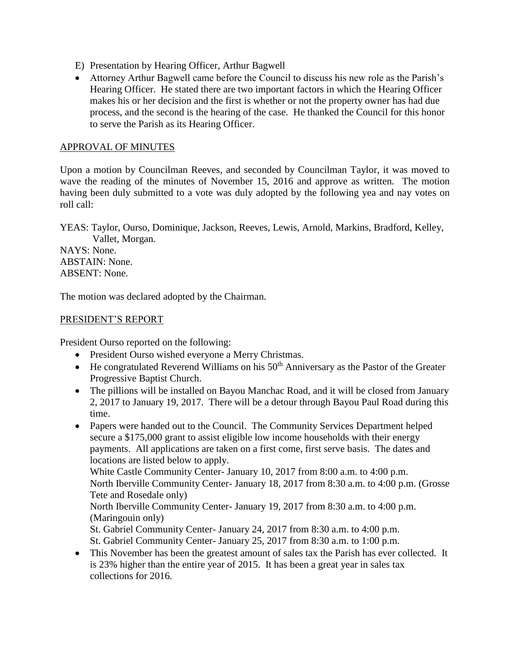- E) Presentation by Hearing Officer, Arthur Bagwell
- Attorney Arthur Bagwell came before the Council to discuss his new role as the Parish's Hearing Officer. He stated there are two important factors in which the Hearing Officer makes his or her decision and the first is whether or not the property owner has had due process, and the second is the hearing of the case. He thanked the Council for this honor to serve the Parish as its Hearing Officer.

### APPROVAL OF MINUTES

Upon a motion by Councilman Reeves, and seconded by Councilman Taylor, it was moved to wave the reading of the minutes of November 15, 2016 and approve as written. The motion having been duly submitted to a vote was duly adopted by the following yea and nay votes on roll call:

YEAS: Taylor, Ourso, Dominique, Jackson, Reeves, Lewis, Arnold, Markins, Bradford, Kelley, Vallet, Morgan.

NAYS: None. ABSTAIN: None. ABSENT: None.

The motion was declared adopted by the Chairman.

### PRESIDENT'S REPORT

President Ourso reported on the following:

- President Ourso wished everyone a Merry Christmas.
- $\bullet$  He congratulated Reverend Williams on his 50<sup>th</sup> Anniversary as the Pastor of the Greater Progressive Baptist Church.
- The pillions will be installed on Bayou Manchac Road, and it will be closed from January 2, 2017 to January 19, 2017. There will be a detour through Bayou Paul Road during this time.
- Papers were handed out to the Council. The Community Services Department helped secure a \$175,000 grant to assist eligible low income households with their energy payments. All applications are taken on a first come, first serve basis. The dates and locations are listed below to apply. White Castle Community Center- January 10, 2017 from 8:00 a.m. to 4:00 p.m. North Iberville Community Center- January 18, 2017 from 8:30 a.m. to 4:00 p.m. (Grosse Tete and Rosedale only) North Iberville Community Center- January 19, 2017 from 8:30 a.m. to 4:00 p.m. (Maringouin only) St. Gabriel Community Center- January 24, 2017 from 8:30 a.m. to 4:00 p.m. St. Gabriel Community Center- January 25, 2017 from 8:30 a.m. to 1:00 p.m.
- This November has been the greatest amount of sales tax the Parish has ever collected. It is 23% higher than the entire year of 2015. It has been a great year in sales tax collections for 2016.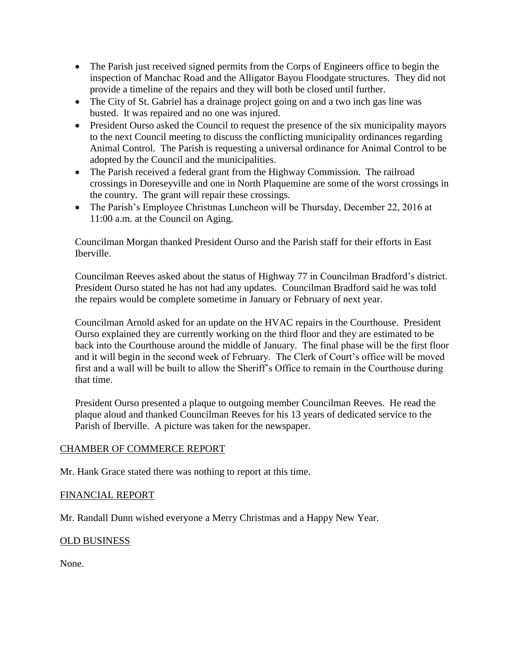- The Parish just received signed permits from the Corps of Engineers office to begin the inspection of Manchac Road and the Alligator Bayou Floodgate structures. They did not provide a timeline of the repairs and they will both be closed until further.
- The City of St. Gabriel has a drainage project going on and a two inch gas line was busted. It was repaired and no one was injured.
- President Ourso asked the Council to request the presence of the six municipality mayors to the next Council meeting to discuss the conflicting municipality ordinances regarding Animal Control. The Parish is requesting a universal ordinance for Animal Control to be adopted by the Council and the municipalities.
- The Parish received a federal grant from the Highway Commission. The railroad crossings in Doreseyville and one in North Plaquemine are some of the worst crossings in the country. The grant will repair these crossings.
- The Parish's Employee Christmas Luncheon will be Thursday, December 22, 2016 at 11:00 a.m. at the Council on Aging.

Councilman Morgan thanked President Ourso and the Parish staff for their efforts in East Iberville.

Councilman Reeves asked about the status of Highway 77 in Councilman Bradford's district. President Ourso stated he has not had any updates. Councilman Bradford said he was told the repairs would be complete sometime in January or February of next year.

Councilman Arnold asked for an update on the HVAC repairs in the Courthouse. President Ourso explained they are currently working on the third floor and they are estimated to be back into the Courthouse around the middle of January. The final phase will be the first floor and it will begin in the second week of February. The Clerk of Court's office will be moved first and a wall will be built to allow the Sheriff's Office to remain in the Courthouse during that time.

President Ourso presented a plaque to outgoing member Councilman Reeves. He read the plaque aloud and thanked Councilman Reeves for his 13 years of dedicated service to the Parish of Iberville. A picture was taken for the newspaper.

# CHAMBER OF COMMERCE REPORT

Mr. Hank Grace stated there was nothing to report at this time.

# FINANCIAL REPORT

Mr. Randall Dunn wished everyone a Merry Christmas and a Happy New Year.

# OLD BUSINESS

None.